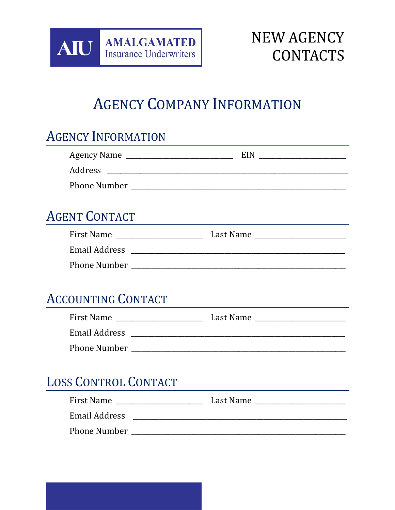

# **NEW AGENCY CONTACTS**

# **AGENCY COMPANY INFORMATION**

# **AGENCY INFORMATION**

| <b>AGENT CONTACT</b>      |  |
|---------------------------|--|
|                           |  |
|                           |  |
|                           |  |
|                           |  |
| <b>ACCOUNTING CONTACT</b> |  |
|                           |  |
|                           |  |
|                           |  |

# **LOSS CONTROL CONTACT**

| First Name          | Last Name |
|---------------------|-----------|
| Email Address       |           |
| <b>Phone Number</b> |           |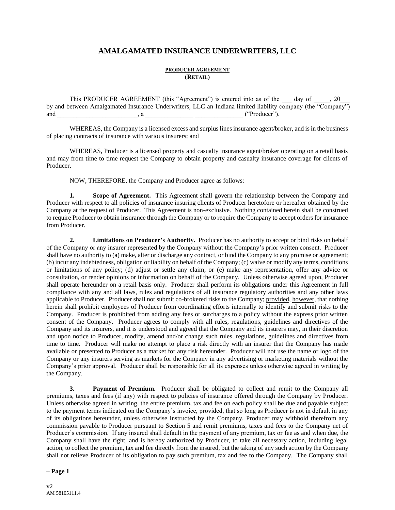# **AMALGAMATED INSURANCE UNDERWRITERS, LLC**

# **PRODUCER AGREEMENT (RETAIL)**

This PRODUCER AGREEMENT (this "Agreement") is entered into as of the \_\_\_ day of \_\_\_\_, 20\_ by and between Amalgamated Insurance Underwriters, LLC an Indiana limited liability company (the "Company") and and , a  $\alpha$  , a  $\alpha$  ("Producer").

WHEREAS, the Company is a licensed excess and surplus lines insurance agent/broker, and is in the business of placing contracts of insurance with various insurers; and

WHEREAS, Producer is a licensed property and casualty insurance agent/broker operating on a retail basis and may from time to time request the Company to obtain property and casualty insurance coverage for clients of Producer.

NOW, THEREFORE, the Company and Producer agree as follows:

**1. Scope of Agreement.** This Agreement shall govern the relationship between the Company and Producer with respect to all policies of insurance insuring clients of Producer heretofore or hereafter obtained by the Company at the request of Producer. This Agreement is non-exclusive. Nothing contained herein shall be construed to require Producer to obtain insurance through the Company or to require the Company to accept orders for insurance from Producer.

**2. Limitations on Producer's Authority.** Producer has no authority to accept or bind risks on behalf of the Company or any insurer represented by the Company without the Company's prior written consent. Producer shall have no authority to (a) make, alter or discharge any contract, or bind the Company to any promise or agreement; (b) incur any indebtedness, obligation or liability on behalf of the Company; (c) waive or modify any terms, conditions or limitations of any policy; (d) adjust or settle any claim; or (e) make any representation, offer any advice or consultation, or render opinions or information on behalf of the Company. Unless otherwise agreed upon, Producer shall operate hereunder on a retail basis only. Producer shall perform its obligations under this Agreement in full compliance with any and all laws, rules and regulations of all insurance regulatory authorities and any other laws applicable to Producer. Producer shall not submit co-brokered risks to the Company; provided, however, that nothing herein shall prohibit employees of Producer from coordinating efforts internally to identify and submit risks to the Company. Producer is prohibited from adding any fees or surcharges to a policy without the express prior written consent of the Company. Producer agrees to comply with all rules, regulations, guidelines and directives of the Company and its insurers, and it is understood and agreed that the Company and its insurers may, in their discretion and upon notice to Producer, modify, amend and/or change such rules, regulations, guidelines and directives from time to time. Producer will make no attempt to place a risk directly with an insurer that the Company has made available or presented to Producer as a market for any risk hereunder. Producer will not use the name or logo of the Company or any insurers serving as markets for the Company in any advertising or marketing materials without the Company's prior approval. Producer shall be responsible for all its expenses unless otherwise agreed in writing by the Company.

**3. Payment of Premium.** Producer shall be obligated to collect and remit to the Company all premiums, taxes and fees (if any) with respect to policies of insurance offered through the Company by Producer. Unless otherwise agreed in writing, the entire premium, tax and fee on each policy shall be due and payable subject to the payment terms indicated on the Company's invoice, provided, that so long as Producer is not in default in any of its obligations hereunder, unless otherwise instructed by the Company, Producer may withhold therefrom any commission payable to Producer pursuant to Section 5 and remit premiums, taxes and fees to the Company net of Producer's commission. If any insured shall default in the payment of any premium, tax or fee as and when due, the Company shall have the right, and is hereby authorized by Producer, to take all necessary action, including legal action, to collect the premium, tax and fee directly from the insured, but the taking of any such action by the Company shall not relieve Producer of its obligation to pay such premium, tax and fee to the Company. The Company shall

#### **– Page 1**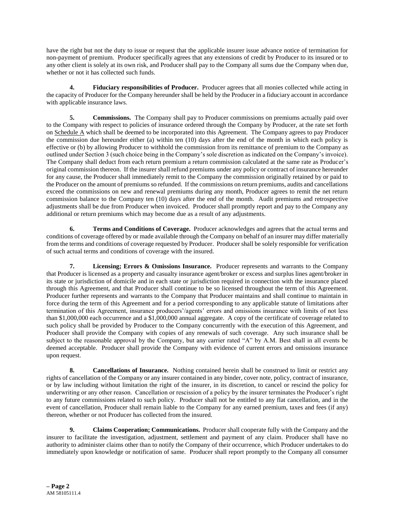have the right but not the duty to issue or request that the applicable insurer issue advance notice of termination for non-payment of premium. Producer specifically agrees that any extensions of credit by Producer to its insured or to any other client is solely at its own risk, and Producer shall pay to the Company all sums due the Company when due, whether or not it has collected such funds.

**4. Fiduciary responsibilities of Producer.** Producer agrees that all monies collected while acting in the capacity of Producer for the Company hereunder shall be held by the Producer in a fiduciary account in accordance with applicable insurance laws.

**5. Commissions.** The Company shall pay to Producer commissions on premiums actually paid over to the Company with respect to policies of insurance ordered through the Company by Producer, at the rate set forth on Schedule A which shall be deemed to be incorporated into this Agreement. The Company agrees to pay Producer the commission due hereunder either (a) within ten (10) days after the end of the month in which each policy is effective or (b) by allowing Producer to withhold the commission from its remittance of premium to the Company as outlined under Section 3 (such choice being in the Company's sole discretion as indicated on the Company's invoice). The Company shall deduct from each return premium a return commission calculated at the same rate as Producer's original commission thereon. If the insurer shall refund premiums under any policy or contract of insurance hereunder for any cause, the Producer shall immediately remit to the Company the commission originally retained by or paid to the Producer on the amount of premiums so refunded. If the commissions on return premiums, audits and cancellations exceed the commissions on new and renewal premiums during any month, Producer agrees to remit the net return commission balance to the Company ten (10) days after the end of the month. Audit premiums and retrospective adjustments shall be due from Producer when invoiced. Producer shall promptly report and pay to the Company any additional or return premiums which may become due as a result of any adjustments.

**6. Terms and Conditions of Coverage.** Producer acknowledges and agrees that the actual terms and conditions of coverage offered by or made available through the Company on behalf of an insurer may differ materially from the terms and conditions of coverage requested by Producer. Producer shall be solely responsible for verification of such actual terms and conditions of coverage with the insured.

**7. Licensing; Errors & Omissions Insurance.** Producer represents and warrants to the Company that Producer is licensed as a property and casualty insurance agent/broker or excess and surplus lines agent/broker in its state or jurisdiction of domicile and in each state or jurisdiction required in connection with the insurance placed through this Agreement, and that Producer shall continue to be so licensed throughout the term of this Agreement. Producer further represents and warrants to the Company that Producer maintains and shall continue to maintain in force during the term of this Agreement and for a period corresponding to any applicable statute of limitations after termination of this Agreement, insurance producers'/agents' errors and omissions insurance with limits of not less than \$1,000,000 each occurrence and a \$1,000,000 annual aggregate. A copy of the certificate of coverage related to such policy shall be provided by Producer to the Company concurrently with the execution of this Agreement, and Producer shall provide the Company with copies of any renewals of such coverage. Any such insurance shall be subject to the reasonable approval by the Company, but any carrier rated "A" by A.M. Best shall in all events be deemed acceptable. Producer shall provide the Company with evidence of current errors and omissions insurance upon request.

**8. Cancellations of Insurance.** Nothing contained herein shall be construed to limit or restrict any rights of cancellation of the Company or any insurer contained in any binder, cover note, policy, contract of insurance, or by law including without limitation the right of the insurer, in its discretion, to cancel or rescind the policy for underwriting or any other reason. Cancellation or rescission of a policy by the insurer terminates the Producer's right to any future commissions related to such policy. Producer shall not be entitled to any flat cancellation, and in the event of cancellation, Producer shall remain liable to the Company for any earned premium, taxes and fees (if any) thereon, whether or not Producer has collected from the insured.

**9. Claims Cooperation; Communications.** Producer shall cooperate fully with the Company and the insurer to facilitate the investigation, adjustment, settlement and payment of any claim. Producer shall have no authority to administer claims other than to notify the Company of their occurrence, which Producer undertakes to do immediately upon knowledge or notification of same. Producer shall report promptly to the Company all consumer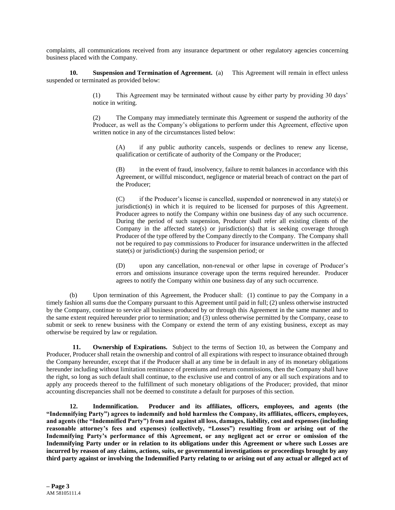complaints, all communications received from any insurance department or other regulatory agencies concerning business placed with the Company.

**10. Suspension and Termination of Agreement.** (a) This Agreement will remain in effect unless suspended or terminated as provided below:

> (1) This Agreement may be terminated without cause by either party by providing 30 days' notice in writing.

> (2) The Company may immediately terminate this Agreement or suspend the authority of the Producer, as well as the Company's obligations to perform under this Agreement, effective upon written notice in any of the circumstances listed below:

(A) if any public authority cancels, suspends or declines to renew any license, qualification or certificate of authority of the Company or the Producer;

(B) in the event of fraud, insolvency, failure to remit balances in accordance with this Agreement, or willful misconduct, negligence or material breach of contract on the part of the Producer;

(C) if the Producer's license is cancelled, suspended or nonrenewed in any state(s) or jurisdiction(s) in which it is required to be licensed for purposes of this Agreement. Producer agrees to notify the Company within one business day of any such occurrence. During the period of such suspension, Producer shall refer all existing clients of the Company in the affected state(s) or jurisdiction(s) that is seeking coverage through Producer of the type offered by the Company directly to the Company. The Company shall not be required to pay commissions to Producer for insurance underwritten in the affected state(s) or jurisdiction(s) during the suspension period; or

(D) upon any cancellation, non-renewal or other lapse in coverage of Producer's errors and omissions insurance coverage upon the terms required hereunder. Producer agrees to notify the Company within one business day of any such occurrence.

(b) Upon termination of this Agreement, the Producer shall: (1) continue to pay the Company in a timely fashion all sums due the Company pursuant to this Agreement until paid in full; (2) unless otherwise instructed by the Company, continue to service all business produced by or through this Agreement in the same manner and to the same extent required hereunder prior to termination; and (3) unless otherwise permitted by the Company, cease to submit or seek to renew business with the Company or extend the term of any existing business, except as may otherwise be required by law or regulation.

**11. Ownership of Expirations.** Subject to the terms of Section 10, as between the Company and Producer, Producer shall retain the ownership and control of all expirations with respect to insurance obtained through the Company hereunder, except that if the Producer shall at any time be in default in any of its monetary obligations hereunder including without limitation remittance of premiums and return commissions, then the Company shall have the right, so long as such default shall continue, to the exclusive use and control of any or all such expirations and to apply any proceeds thereof to the fulfillment of such monetary obligations of the Producer; provided, that minor accounting discrepancies shall not be deemed to constitute a default for purposes of this section.

**12. Indemnification. Producer and its affiliates, officers, employees, and agents (the "Indemnifying Party") agrees to indemnify and hold harmless the Company, its affiliates, officers, employees, and agents (the "Indemnified Party") from and against all loss, damages, liability, cost and expenses (including reasonable attorney's fees and expenses) (collectively, "Losses") resulting from or arising out of the Indemnifying Party's performance of this Agreement, or any negligent act or error or omission of the Indemnifying Party under or in relation to its obligations under this Agreement or where such Losses are incurred by reason of any claims, actions, suits, or governmental investigations or proceedings brought by any third party against or involving the Indemnified Party relating to or arising out of any actual or alleged act of**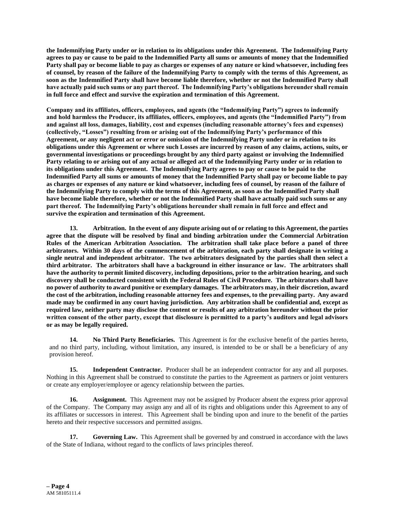**the Indemnifying Party under or in relation to its obligations under this Agreement. The Indemnifying Party agrees to pay or cause to be paid to the Indemnified Party all sums or amounts of money that the Indemnified Party shall pay or become liable to pay as charges or expenses of any nature or kind whatsoever, including fees of counsel, by reason of the failure of the Indemnifying Party to comply with the terms of this Agreement, as soon as the Indemnified Party shall have become liable therefore, whether or not the Indemnified Party shall have actually paid such sums or any part thereof. The Indemnifying Party's obligations hereunder shall remain in full force and effect and survive the expiration and termination of this Agreement.**

**Company and its affiliates, officers, employees, and agents (the "Indemnifying Party") agrees to indemnify and hold harmless the Producer, its affiliates, officers, employees, and agents (the "Indemnified Party") from and against all loss, damages, liability, cost and expenses (including reasonable attorney's fees and expenses) (collectively, "Losses") resulting from or arising out of the Indemnifying Party's performance of this Agreement, or any negligent act or error or omission of the Indemnifying Party under or in relation to its obligations under this Agreement or where such Losses are incurred by reason of any claims, actions, suits, or governmental investigations or proceedings brought by any third party against or involving the Indemnified Party relating to or arising out of any actual or alleged act of the Indemnifying Party under or in relation to its obligations under this Agreement. The Indemnifying Party agrees to pay or cause to be paid to the Indemnified Party all sums or amounts of money that the Indemnified Party shall pay or become liable to pay as charges or expenses of any nature or kind whatsoever, including fees of counsel, by reason of the failure of the Indemnifying Party to comply with the terms of this Agreement, as soon as the Indemnified Party shall have become liable therefore, whether or not the Indemnified Party shall have actually paid such sums or any part thereof. The Indemnifying Party's obligations hereunder shall remain in full force and effect and survive the expiration and termination of this Agreement.**

**13. Arbitration. In the event of any dispute arising out of or relating to this Agreement, the parties agree that the dispute will be resolved by final and binding arbitration under the Commercial Arbitration Rules of the American Arbitration Association. The arbitration shall take place before a panel of three arbitrators. Within 30 days of the commencement of the arbitration, each party shall designate in writing a single neutral and independent arbitrator. The two arbitrators designated by the parties shall then select a third arbitrator. The arbitrators shall have a background in either insurance or law. The arbitrators shall have the authority to permit limited discovery, including depositions, prior to the arbitration hearing, and such discovery shall be conducted consistent with the Federal Rules of Civil Procedure. The arbitrators shall have no power of authority to award punitive or exemplary damages. The arbitrators may, in their discretion, award the cost of the arbitration, including reasonable attorney fees and expenses, to the prevailing party. Any award made may be confirmed in any court having jurisdiction. Any arbitration shall be confidential and, except as required law, neither party may disclose the content or results of any arbitration hereunder without the prior written consent of the other party, except that disclosure is permitted to a party's auditors and legal advisors or as may be legally required.**

**14. No Third Party Beneficiaries.** This Agreement is for the exclusive benefit of the parties hereto, and no third party, including, without limitation, any insured, is intended to be or shall be a beneficiary of any provision hereof.

**15. Independent Contractor.** Producer shall be an independent contractor for any and all purposes. Nothing in this Agreement shall be construed to constitute the parties to the Agreement as partners or joint venturers or create any employer/employee or agency relationship between the parties.

**16. Assignment.** This Agreement may not be assigned by Producer absent the express prior approval of the Company. The Company may assign any and all of its rights and obligations under this Agreement to any of its affiliates or successors in interest. This Agreement shall be binding upon and inure to the benefit of the parties hereto and their respective successors and permitted assigns.

**17. Governing Law.** This Agreement shall be governed by and construed in accordance with the laws of the State of Indiana, without regard to the conflicts of laws principles thereof.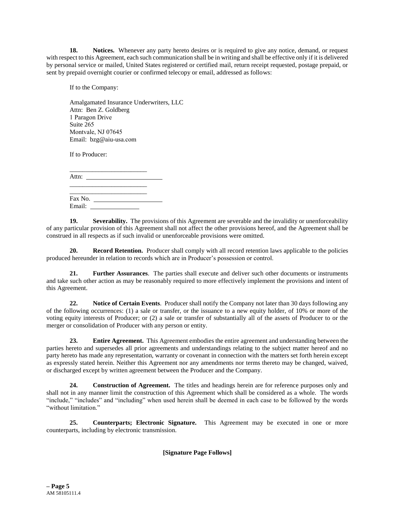**18. Notices.** Whenever any party hereto desires or is required to give any notice, demand, or request with respect to this Agreement, each such communication shall be in writing and shall be effective only if it is delivered by personal service or mailed, United States registered or certified mail, return receipt requested, postage prepaid, or sent by prepaid overnight courier or confirmed telecopy or email, addressed as follows:

If to the Company:

Amalgamated Insurance Underwriters, LLC Attn: Ben Z. Goldberg 1 Paragon Drive Suite 265 Montvale, NJ 07645 Email: bzg@aiu-usa.com

If to Producer:

| Attn: |  |  |
|-------|--|--|

| Fax No. |  |
|---------|--|
| Email:  |  |

\_\_\_\_\_\_\_\_\_\_\_\_\_\_\_\_\_\_\_\_\_\_\_\_

**19. Severability.** The provisions of this Agreement are severable and the invalidity or unenforceability of any particular provision of this Agreement shall not affect the other provisions hereof, and the Agreement shall be construed in all respects as if such invalid or unenforceable provisions were omitted.

**20. Record Retention.** Producer shall comply with all record retention laws applicable to the policies produced hereunder in relation to records which are in Producer's possession or control.

**21. Further Assurances**. The parties shall execute and deliver such other documents or instruments and take such other action as may be reasonably required to more effectively implement the provisions and intent of this Agreement.

**22. Notice of Certain Events**. Producer shall notify the Company not later than 30 days following any of the following occurrences: (1) a sale or transfer, or the issuance to a new equity holder, of 10% or more of the voting equity interests of Producer; or (2) a sale or transfer of substantially all of the assets of Producer to or the merger or consolidation of Producer with any person or entity.

**23. Entire Agreement.** This Agreement embodies the entire agreement and understanding between the parties hereto and supersedes all prior agreements and understandings relating to the subject matter hereof and no party hereto has made any representation, warranty or covenant in connection with the matters set forth herein except as expressly stated herein. Neither this Agreement nor any amendments nor terms thereto may be changed, waived, or discharged except by written agreement between the Producer and the Company.

**24. Construction of Agreement.** The titles and headings herein are for reference purposes only and shall not in any manner limit the construction of this Agreement which shall be considered as a whole. The words "include," "includes" and "including" when used herein shall be deemed in each case to be followed by the words "without limitation."

**25. Counterparts; Electronic Signature.** This Agreement may be executed in one or more counterparts, including by electronic transmission.

**[Signature Page Follows]**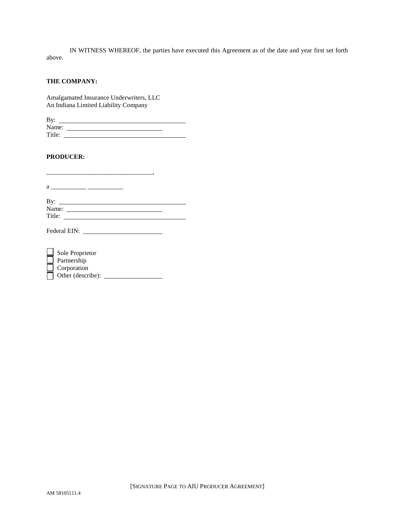IN WITNESS WHEREOF, the parties have executed this Agreement as of the date and year first set forth above.

## **THE COMPANY:**

Amalgamated Insurance Underwriters, LLC An Indiana Limited Liability Company

\_\_\_\_\_\_\_\_\_\_\_\_\_\_\_\_\_\_\_\_\_\_\_\_\_\_\_\_\_\_\_\_\_,

| By:    |  |
|--------|--|
| Name:  |  |
| Title: |  |

# **PRODUCER:**

 $a \xrightarrow{a}$ 

| By:    |  |
|--------|--|
| Name:  |  |
| Title: |  |

Federal EIN:

| Sole Proprietor   |
|-------------------|
| Partnership       |
| Corporation       |
| Other (describe): |